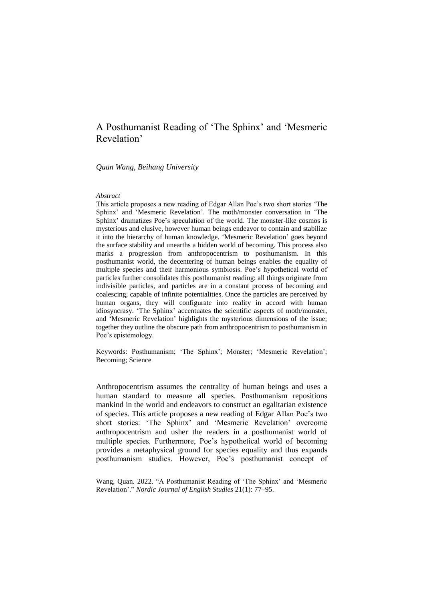# A Posthumanist Reading of 'The Sphinx' and 'Mesmeric Revelation'

*Quan Wang, Beihang University*

#### *Abstract*

This article proposes a new reading of Edgar Allan Poe's two short stories 'The Sphinx' and 'Mesmeric Revelation'. The moth/monster conversation in 'The Sphinx' dramatizes Poe's speculation of the world. The monster-like cosmos is mysterious and elusive, however human beings endeavor to contain and stabilize it into the hierarchy of human knowledge. 'Mesmeric Revelation' goes beyond the surface stability and unearths a hidden world of becoming. This process also marks a progression from anthropocentrism to posthumanism. In this posthumanist world, the decentering of human beings enables the equality of multiple species and their harmonious symbiosis. Poe's hypothetical world of particles further consolidates this posthumanist reading: all things originate from indivisible particles, and particles are in a constant process of becoming and coalescing, capable of infinite potentialities. Once the particles are perceived by human organs, they will configurate into reality in accord with human idiosyncrasy. 'The Sphinx' accentuates the scientific aspects of moth/monster, and 'Mesmeric Revelation' highlights the mysterious dimensions of the issue; together they outline the obscure path from anthropocentrism to posthumanism in Poe's epistemology.

Keywords: Posthumanism; 'The Sphinx'; Monster; 'Mesmeric Revelation'; Becoming; Science

Anthropocentrism assumes the centrality of human beings and uses a human standard to measure all species. Posthumanism repositions mankind in the world and endeavors to construct an egalitarian existence of species. This article proposes a new reading of Edgar Allan Poe's two short stories: 'The Sphinx' and 'Mesmeric Revelation' overcome anthropocentrism and usher the readers in a posthumanist world of multiple species. Furthermore, Poe's hypothetical world of becoming provides a metaphysical ground for species equality and thus expands posthumanism studies. However, Poe's posthumanist concept of

Wang, Quan. 2022. "A Posthumanist Reading of 'The Sphinx' and 'Mesmeric Revelation'." *Nordic Journal of English Studies* 21(1): 77–95.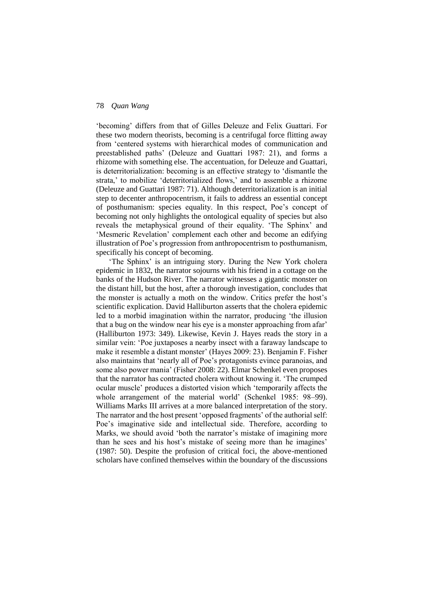'becoming' differs from that of Gilles Deleuze and Felix Guattari. For these two modern theorists, becoming is a centrifugal force flitting away from 'centered systems with hierarchical modes of communication and preestablished paths' (Deleuze and Guattari 1987: 21), and forms a rhizome with something else. The accentuation, for Deleuze and Guattari, is deterritorialization: becoming is an effective strategy to 'dismantle the strata,' to mobilize 'deterritorialized flows,' and to assemble a rhizome (Deleuze and Guattari 1987: 71). Although deterritorialization is an initial step to decenter anthropocentrism, it fails to address an essential concept of posthumanism: species equality. In this respect, Poe's concept of becoming not only highlights the ontological equality of species but also reveals the metaphysical ground of their equality. 'The Sphinx' and 'Mesmeric Revelation' complement each other and become an edifying illustration of Poe's progression from anthropocentrism to posthumanism, specifically his concept of becoming.

'The Sphinx' is an intriguing story. During the New York cholera epidemic in 1832, the narrator sojourns with his friend in a cottage on the banks of the Hudson River. The narrator witnesses a gigantic monster on the distant hill, but the host, after a thorough investigation, concludes that the monster is actually a moth on the window. Critics prefer the host's scientific explication. David Halliburton asserts that the cholera epidemic led to a morbid imagination within the narrator, producing 'the illusion that a bug on the window near his eye is a monster approaching from afar' (Halliburton 1973: 349). Likewise, Kevin J. Hayes reads the story in a similar vein: 'Poe juxtaposes a nearby insect with a faraway landscape to make it resemble a distant monster' (Hayes 2009: 23). Benjamin F. Fisher also maintains that 'nearly all of Poe's protagonists evince paranoias, and some also power mania' (Fisher 2008: 22). Elmar Schenkel even proposes that the narrator has contracted cholera without knowing it. 'The crumped ocular muscle' produces a distorted vision which 'temporarily affects the whole arrangement of the material world' (Schenkel 1985: 98–99). Williams Marks III arrives at a more balanced interpretation of the story. The narrator and the host present 'opposed fragments' of the authorial self: Poe's imaginative side and intellectual side. Therefore, according to Marks, we should avoid 'both the narrator's mistake of imagining more than he sees and his host's mistake of seeing more than he imagines' (1987: 50). Despite the profusion of critical foci, the above-mentioned scholars have confined themselves within the boundary of the discussions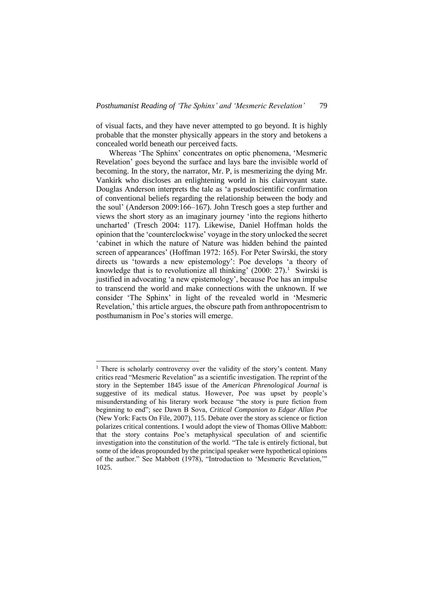of visual facts, and they have never attempted to go beyond. It is highly probable that the monster physically appears in the story and betokens a concealed world beneath our perceived facts.

Whereas 'The Sphinx' concentrates on optic phenomena, 'Mesmeric Revelation' goes beyond the surface and lays bare the invisible world of becoming. In the story, the narrator, Mr. P, is mesmerizing the dying Mr. Vankirk who discloses an enlightening world in his clairvoyant state. Douglas Anderson interprets the tale as 'a pseudoscientific confirmation of conventional beliefs regarding the relationship between the body and the soul' (Anderson 2009:166–167). John Tresch goes a step further and views the short story as an imaginary journey 'into the regions hitherto uncharted' (Tresch 2004: 117). Likewise, Daniel Hoffman holds the opinion that the 'counterclockwise' voyage in the story unlocked the secret 'cabinet in which the nature of Nature was hidden behind the painted screen of appearances' (Hoffman 1972: 165). For Peter Swirski, the story directs us 'towards a new epistemology': Poe develops 'a theory of knowledge that is to revolutionize all thinking'  $(2000: 27).$ <sup>1</sup> Swirski is justified in advocating 'a new epistemology', because Poe has an impulse to transcend the world and make connections with the unknown. If we consider 'The Sphinx' in light of the revealed world in 'Mesmeric Revelation,' this article argues, the obscure path from anthropocentrism to posthumanism in Poe's stories will emerge.

-

<sup>&</sup>lt;sup>1</sup> There is scholarly controversy over the validity of the story's content. Many critics read "Mesmeric Revelation" as a scientific investigation. The reprint of the story in the September 1845 issue of the *American Phrenological Journal* is suggestive of its medical status. However, Poe was upset by people's misunderstanding of his literary work because "the story is pure fiction from beginning to end"; see Dawn B Sova, *Critical Companion to Edgar Allan Poe* (New York: Facts On File, 2007), 115. Debate over the story as science or fiction polarizes critical contentions. I would adopt the view of Thomas Ollive Mabbott: that the story contains Poe's metaphysical speculation of and scientific investigation into the constitution of the world. "The tale is entirely fictional, but some of the ideas propounded by the principal speaker were hypothetical opinions of the author." See Mabbott (1978), "Introduction to 'Mesmeric Revelation,'" 1025.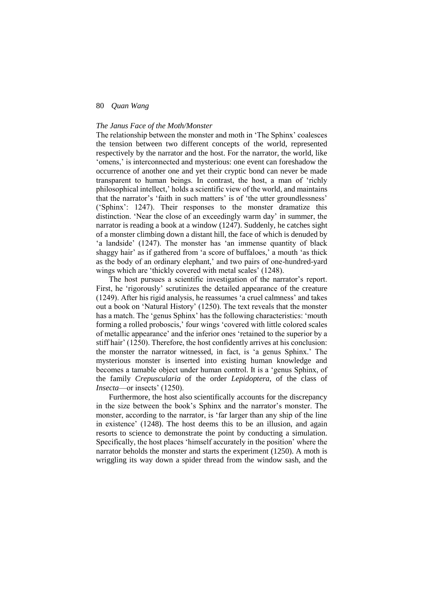## *The Janus Face of the Moth/Monster*

The relationship between the monster and moth in 'The Sphinx' coalesces the tension between two different concepts of the world, represented respectively by the narrator and the host. For the narrator, the world, like 'omens,' is interconnected and mysterious: one event can foreshadow the occurrence of another one and yet their cryptic bond can never be made transparent to human beings. In contrast, the host, a man of 'richly philosophical intellect,' holds a scientific view of the world, and maintains that the narrator's 'faith in such matters' is of 'the utter groundlessness' ('Sphinx': 1247). Their responses to the monster dramatize this distinction. 'Near the close of an exceedingly warm day' in summer, the narrator is reading a book at a window (1247). Suddenly, he catches sight of a monster climbing down a distant hill, the face of which is denuded by 'a landside' (1247). The monster has 'an immense quantity of black shaggy hair' as if gathered from 'a score of buffaloes,' a mouth 'as thick as the body of an ordinary elephant,' and two pairs of one-hundred-yard wings which are 'thickly covered with metal scales' (1248).

The host pursues a scientific investigation of the narrator's report. First, he 'rigorously' scrutinizes the detailed appearance of the creature (1249). After his rigid analysis, he reassumes 'a cruel calmness' and takes out a book on 'Natural History' (1250). The text reveals that the monster has a match. The 'genus Sphinx' has the following characteristics: 'mouth forming a rolled proboscis,' four wings 'covered with little colored scales of metallic appearance' and the inferior ones 'retained to the superior by a stiff hair' (1250). Therefore, the host confidently arrives at his conclusion: the monster the narrator witnessed, in fact, is 'a genus Sphinx.' The mysterious monster is inserted into existing human knowledge and becomes a tamable object under human control. It is a 'genus Sphinx, of the family *Crepuscularia* of the order *Lepidoptera*, of the class of *Insecta*—or insects' (1250).

Furthermore, the host also scientifically accounts for the discrepancy in the size between the book's Sphinx and the narrator's monster. The monster, according to the narrator, is 'far larger than any ship of the line in existence' (1248). The host deems this to be an illusion, and again resorts to science to demonstrate the point by conducting a simulation. Specifically, the host places 'himself accurately in the position' where the narrator beholds the monster and starts the experiment (1250). A moth is wriggling its way down a spider thread from the window sash, and the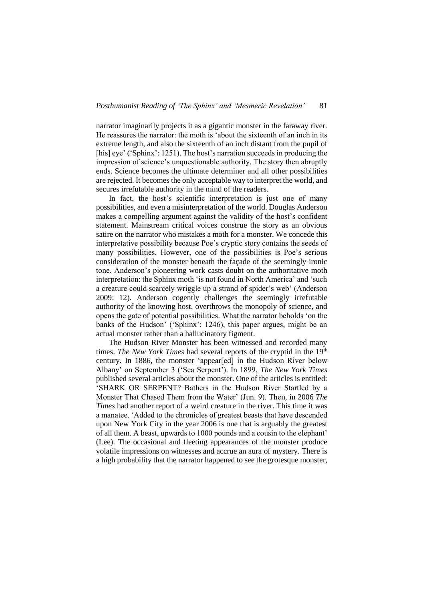narrator imaginarily projects it as a gigantic monster in the faraway river. He reassures the narrator: the moth is 'about the sixteenth of an inch in its extreme length, and also the sixteenth of an inch distant from the pupil of [his] eye' ('Sphinx': 1251). The host's narration succeeds in producing the impression of science's unquestionable authority. The story then abruptly ends. Science becomes the ultimate determiner and all other possibilities are rejected. It becomes the only acceptable way to interpret the world, and secures irrefutable authority in the mind of the readers.

In fact, the host's scientific interpretation is just one of many possibilities, and even a misinterpretation of the world. Douglas Anderson makes a compelling argument against the validity of the host's confident statement. Mainstream critical voices construe the story as an obvious satire on the narrator who mistakes a moth for a monster. We concede this interpretative possibility because Poe's cryptic story contains the seeds of many possibilities. However, one of the possibilities is Poe's serious consideration of the monster beneath the façade of the seemingly ironic tone. Anderson's pioneering work casts doubt on the authoritative moth interpretation: the Sphinx moth 'is not found in North America' and 'such a creature could scarcely wriggle up a strand of spider's web' (Anderson 2009: 12). Anderson cogently challenges the seemingly irrefutable authority of the knowing host, overthrows the monopoly of science, and opens the gate of potential possibilities. What the narrator beholds 'on the banks of the Hudson' ('Sphinx': 1246), this paper argues, might be an actual monster rather than a hallucinatory figment.

The Hudson River Monster has been witnessed and recorded many times. *The New York Times* had several reports of the cryptid in the 19<sup>th</sup> century. In 1886, the monster 'appear[ed] in the Hudson River below Albany' on September 3 ('Sea Serpent'). In 1899, *The New York Times* published several articles about the monster. One of the articles is entitled: 'SHARK OR SERPENT? Bathers in the Hudson River Startled by a Monster That Chased Them from the Water' (Jun. 9). Then, in 2006 *The Times* had another report of a weird creature in the river. This time it was a manatee. 'Added to the chronicles of greatest beasts that have descended upon New York City in the year 2006 is one that is arguably the greatest of all them. A beast, upwards to 1000 pounds and a cousin to the elephant' (Lee). The occasional and fleeting appearances of the monster produce volatile impressions on witnesses and accrue an aura of mystery. There is a high probability that the narrator happened to see the grotesque monster,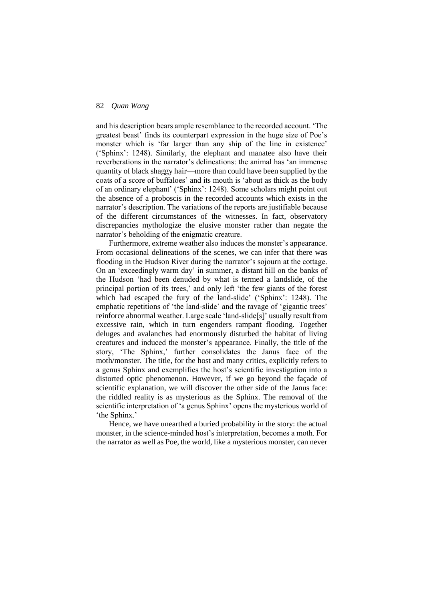and his description bears ample resemblance to the recorded account. 'The greatest beast' finds its counterpart expression in the huge size of Poe's monster which is 'far larger than any ship of the line in existence' ('Sphinx': 1248). Similarly, the elephant and manatee also have their reverberations in the narrator's delineations: the animal has 'an immense quantity of black shaggy hair—more than could have been supplied by the coats of a score of buffaloes' and its mouth is 'about as thick as the body of an ordinary elephant' ('Sphinx': 1248). Some scholars might point out the absence of a proboscis in the recorded accounts which exists in the narrator's description. The variations of the reports are justifiable because of the different circumstances of the witnesses. In fact, observatory discrepancies mythologize the elusive monster rather than negate the narrator's beholding of the enigmatic creature.

Furthermore, extreme weather also induces the monster's appearance. From occasional delineations of the scenes, we can infer that there was flooding in the Hudson River during the narrator's sojourn at the cottage. On an 'exceedingly warm day' in summer, a distant hill on the banks of the Hudson 'had been denuded by what is termed a landslide, of the principal portion of its trees,' and only left 'the few giants of the forest which had escaped the fury of the land-slide' ('Sphinx': 1248). The emphatic repetitions of 'the land-slide' and the ravage of 'gigantic trees' reinforce abnormal weather. Large scale 'land-slide[s]' usually result from excessive rain, which in turn engenders rampant flooding. Together deluges and avalanches had enormously disturbed the habitat of living creatures and induced the monster's appearance. Finally, the title of the story, 'The Sphinx,' further consolidates the Janus face of the moth/monster. The title, for the host and many critics, explicitly refers to a genus Sphinx and exemplifies the host's scientific investigation into a distorted optic phenomenon. However, if we go beyond the façade of scientific explanation, we will discover the other side of the Janus face: the riddled reality is as mysterious as the Sphinx. The removal of the scientific interpretation of 'a genus Sphinx' opens the mysterious world of 'the Sphinx.'

Hence, we have unearthed a buried probability in the story: the actual monster, in the science-minded host's interpretation, becomes a moth. For the narrator as well as Poe, the world, like a mysterious monster, can never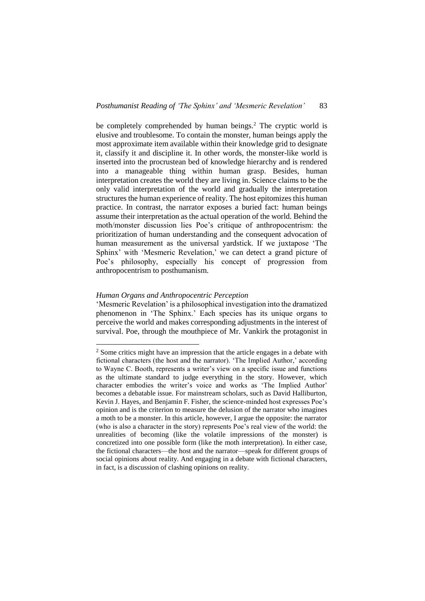be completely comprehended by human beings.<sup>2</sup> The cryptic world is elusive and troublesome. To contain the monster, human beings apply the most approximate item available within their knowledge grid to designate it, classify it and discipline it. In other words, the monster-like world is inserted into the procrustean bed of knowledge hierarchy and is rendered into a manageable thing within human grasp. Besides, human interpretation creates the world they are living in. Science claims to be the only valid interpretation of the world and gradually the interpretation structures the human experience of reality. The host epitomizes this human practice. In contrast, the narrator exposes a buried fact: human beings assume their interpretation as the actual operation of the world. Behind the moth/monster discussion lies Poe's critique of anthropocentrism: the prioritization of human understanding and the consequent advocation of human measurement as the universal yardstick. If we juxtapose 'The Sphinx' with 'Mesmeric Revelation,' we can detect a grand picture of Poe's philosophy, especially his concept of progression from anthropocentrism to posthumanism.

## *Human Organs and Anthropocentric Perception*

-

'Mesmeric Revelation' is a philosophical investigation into the dramatized phenomenon in 'The Sphinx.' Each species has its unique organs to perceive the world and makes corresponding adjustments in the interest of survival. Poe, through the mouthpiece of Mr. Vankirk the protagonist in

<sup>&</sup>lt;sup>2</sup> Some critics might have an impression that the article engages in a debate with fictional characters (the host and the narrator). 'The Implied Author,' according to Wayne C. Booth, represents a writer's view on a specific issue and functions as the ultimate standard to judge everything in the story. However, which character embodies the writer's voice and works as 'The Implied Author' becomes a debatable issue. For mainstream scholars, such as David Halliburton, Kevin J. Hayes, and Benjamin F. Fisher, the science-minded host expresses Poe's opinion and is the criterion to measure the delusion of the narrator who imagines a moth to be a monster. In this article, however, I argue the opposite: the narrator (who is also a character in the story) represents Poe's real view of the world: the unrealities of becoming (like the volatile impressions of the monster) is concretized into one possible form (like the moth interpretation). In either case, the fictional characters—the host and the narrator—speak for different groups of social opinions about reality. And engaging in a debate with fictional characters, in fact, is a discussion of clashing opinions on reality.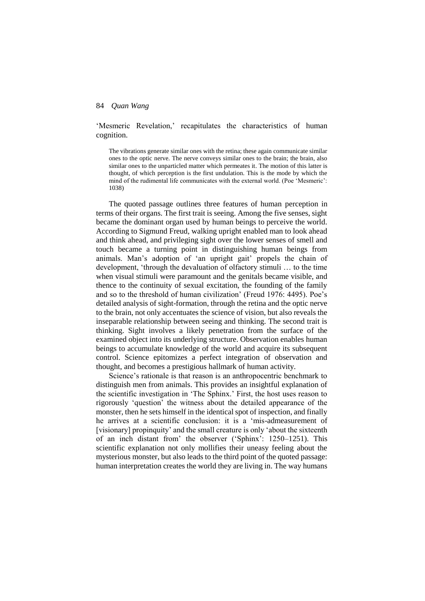'Mesmeric Revelation,' recapitulates the characteristics of human cognition.

The vibrations generate similar ones with the retina; these again communicate similar ones to the optic nerve. The nerve conveys similar ones to the brain; the brain, also similar ones to the unparticled matter which permeates it. The motion of this latter is thought, of which perception is the first undulation. This is the mode by which the mind of the rudimental life communicates with the external world. (Poe 'Mesmeric': 1038)

The quoted passage outlines three features of human perception in terms of their organs. The first trait is seeing. Among the five senses, sight became the dominant organ used by human beings to perceive the world. According to Sigmund Freud, walking upright enabled man to look ahead and think ahead, and privileging sight over the lower senses of smell and touch became a turning point in distinguishing human beings from animals. Man's adoption of 'an upright gait' propels the chain of development, 'through the devaluation of olfactory stimuli … to the time when visual stimuli were paramount and the genitals became visible, and thence to the continuity of sexual excitation, the founding of the family and so to the threshold of human civilization' (Freud 1976: 4495). Poe's detailed analysis of sight-formation, through the retina and the optic nerve to the brain, not only accentuates the science of vision, but also reveals the inseparable relationship between seeing and thinking. The second trait is thinking. Sight involves a likely penetration from the surface of the examined object into its underlying structure. Observation enables human beings to accumulate knowledge of the world and acquire its subsequent control. Science epitomizes a perfect integration of observation and thought, and becomes a prestigious hallmark of human activity.

Science's rationale is that reason is an anthropocentric benchmark to distinguish men from animals. This provides an insightful explanation of the scientific investigation in 'The Sphinx.' First, the host uses reason to rigorously 'question' the witness about the detailed appearance of the monster, then he sets himself in the identical spot of inspection, and finally he arrives at a scientific conclusion: it is a 'mis-admeasurement of [visionary] propinquity' and the small creature is only 'about the sixteenth of an inch distant from' the observer ('Sphinx': 1250–1251). This scientific explanation not only mollifies their uneasy feeling about the mysterious monster, but also leads to the third point of the quoted passage: human interpretation creates the world they are living in. The way humans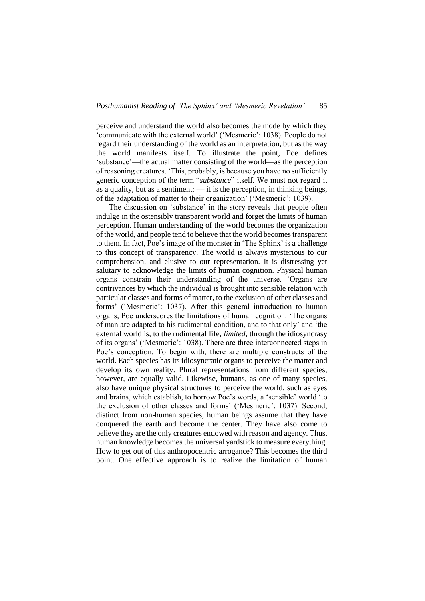perceive and understand the world also becomes the mode by which they 'communicate with the external world' ('Mesmeric': 1038). People do not regard their understanding of the world as an interpretation, but as the way the world manifests itself. To illustrate the point, Poe defines 'substance'—the actual matter consisting of the world—as the perception of reasoning creatures. 'This, probably, is because you have no sufficiently generic conception of the term "*substance*" itself. We must not regard it as a quality, but as a sentiment:  $\frac{d}{dt}$  is the perception, in thinking beings, of the adaptation of matter to their organization' ('Mesmeric': 1039).

The discussion on 'substance' in the story reveals that people often indulge in the ostensibly transparent world and forget the limits of human perception. Human understanding of the world becomes the organization of the world, and people tend to believe that the world becomes transparent to them. In fact, Poe's image of the monster in 'The Sphinx' is a challenge to this concept of transparency. The world is always mysterious to our comprehension, and elusive to our representation. It is distressing yet salutary to acknowledge the limits of human cognition. Physical human organs constrain their understanding of the universe. 'Organs are contrivances by which the individual is brought into sensible relation with particular classes and forms of matter, to the exclusion of other classes and forms' ('Mesmeric': 1037). After this general introduction to human organs, Poe underscores the limitations of human cognition. 'The organs of man are adapted to his rudimental condition, and to that only' and 'the external world is, to the rudimental life, *limited*, through the idiosyncrasy of its organs' ('Mesmeric': 1038). There are three interconnected steps in Poe's conception. To begin with, there are multiple constructs of the world. Each species has its idiosyncratic organs to perceive the matter and develop its own reality. Plural representations from different species, however, are equally valid. Likewise, humans, as one of many species, also have unique physical structures to perceive the world, such as eyes and brains, which establish, to borrow Poe's words, a 'sensible' world 'to the exclusion of other classes and forms' ('Mesmeric': 1037). Second, distinct from non-human species, human beings assume that they have conquered the earth and become the center. They have also come to believe they are the only creatures endowed with reason and agency. Thus, human knowledge becomes the universal yardstick to measure everything. How to get out of this anthropocentric arrogance? This becomes the third point. One effective approach is to realize the limitation of human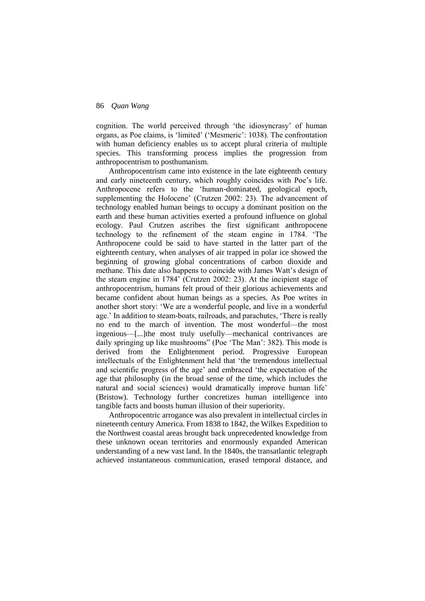cognition. The world perceived through 'the idiosyncrasy' of human organs, as Poe claims, is 'limited' ('Mesmeric': 1038). The confrontation with human deficiency enables us to accept plural criteria of multiple species. This transforming process implies the progression from anthropocentrism to posthumanism.

Anthropocentrism came into existence in the late eighteenth century and early nineteenth century, which roughly coincides with Poe's life. Anthropocene refers to the 'human-dominated, geological epoch, supplementing the Holocene' (Crutzen 2002: 23). The advancement of technology enabled human beings to occupy a dominant position on the earth and these human activities exerted a profound influence on global ecology. Paul Crutzen ascribes the first significant anthropocene technology to the refinement of the steam engine in 1784. 'The Anthropocene could be said to have started in the latter part of the eighteenth century, when analyses of air trapped in polar ice showed the beginning of growing global concentrations of carbon dioxide and methane. This date also happens to coincide with James Watt's design of the steam engine in 1784' (Crutzen 2002: 23). At the incipient stage of anthropocentrism, humans felt proud of their glorious achievements and became confident about human beings as a species. As Poe writes in another short story: 'We are a wonderful people, and live in a wonderful age.' In addition to steam-boats, railroads, and parachutes, 'There is really no end to the march of invention. The most wonderful—the most ingenious—[...]the most truly usefully—mechanical contrivances are daily springing up like mushrooms" (Poe 'The Man': 382). This mode is derived from the Enlightenment period. Progressive European intellectuals of the Enlightenment held that 'the tremendous intellectual and scientific progress of the age' and embraced 'the expectation of the age that philosophy (in the broad sense of the time, which includes the natural and social sciences) would dramatically improve human life' (Bristow). Technology further concretizes human intelligence into tangible facts and boosts human illusion of their superiority.

Anthropocentric arrogance was also prevalent in intellectual circles in nineteenth century America. From 1838 to 1842, the Wilkes Expedition to the Northwest coastal areas brought back unprecedented knowledge from these unknown ocean territories and enormously expanded American understanding of a new vast land. In the 1840s, the transatlantic telegraph achieved instantaneous communication, erased temporal distance, and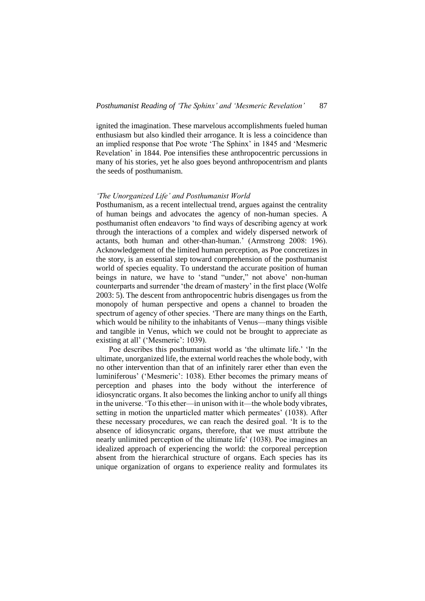ignited the imagination. These marvelous accomplishments fueled human enthusiasm but also kindled their arrogance. It is less a coincidence than an implied response that Poe wrote 'The Sphinx' in 1845 and 'Mesmeric Revelation' in 1844. Poe intensifies these anthropocentric percussions in many of his stories, yet he also goes beyond anthropocentrism and plants the seeds of posthumanism.

## *'The Unorganized Life' and Posthumanist World*

Posthumanism, as a recent intellectual trend, argues against the centrality of human beings and advocates the agency of non-human species. A posthumanist often endeavors 'to find ways of describing agency at work through the interactions of a complex and widely dispersed network of actants, both human and other-than-human.' (Armstrong 2008: 196). Acknowledgement of the limited human perception, as Poe concretizes in the story, is an essential step toward comprehension of the posthumanist world of species equality. To understand the accurate position of human beings in nature, we have to 'stand "under," not above' non-human counterparts and surrender 'the dream of mastery' in the first place (Wolfe 2003: 5). The descent from anthropocentric hubris disengages us from the monopoly of human perspective and opens a channel to broaden the spectrum of agency of other species. 'There are many things on the Earth, which would be nihility to the inhabitants of Venus—many things visible and tangible in Venus, which we could not be brought to appreciate as existing at all' ('Mesmeric': 1039).

Poe describes this posthumanist world as 'the ultimate life.' 'In the ultimate, unorganized life, the external world reaches the whole body, with no other intervention than that of an infinitely rarer ether than even the luminiferous' ('Mesmeric': 1038). Ether becomes the primary means of perception and phases into the body without the interference of idiosyncratic organs. It also becomes the linking anchor to unify all things in the universe. 'To this ether—in unison with it—the whole body vibrates, setting in motion the unparticled matter which permeates' (1038). After these necessary procedures, we can reach the desired goal. 'It is to the absence of idiosyncratic organs, therefore, that we must attribute the nearly unlimited perception of the ultimate life' (1038). Poe imagines an idealized approach of experiencing the world: the corporeal perception absent from the hierarchical structure of organs. Each species has its unique organization of organs to experience reality and formulates its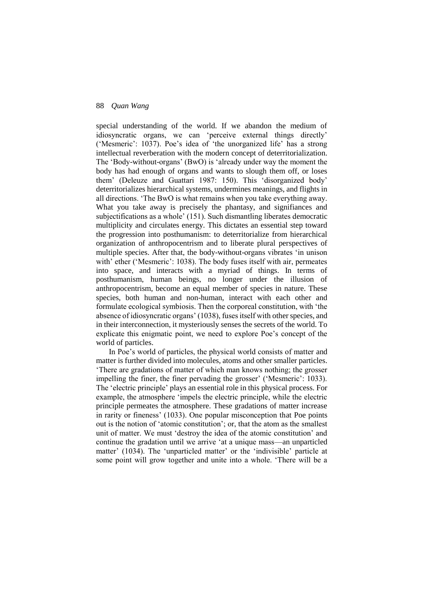special understanding of the world. If we abandon the medium of idiosyncratic organs, we can 'perceive external things directly' ('Mesmeric': 1037). Poe's idea of 'the unorganized life' has a strong intellectual reverberation with the modern concept of deterritorialization. The 'Body-without-organs' (BwO) is 'already under way the moment the body has had enough of organs and wants to slough them off, or loses them' (Deleuze and Guattari 1987: 150). This 'disorganized body' deterritorializes hierarchical systems, undermines meanings, and flights in all directions. 'The BwO is what remains when you take everything away. What you take away is precisely the phantasy, and signifiances and subjectifications as a whole' (151). Such dismantling liberates democratic multiplicity and circulates energy. This dictates an essential step toward the progression into posthumanism: to deterritorialize from hierarchical organization of anthropocentrism and to liberate plural perspectives of multiple species. After that, the body-without-organs vibrates 'in unison with' ether ('Mesmeric': 1038). The body fuses itself with air, permeates into space, and interacts with a myriad of things. In terms of posthumanism, human beings, no longer under the illusion of anthropocentrism, become an equal member of species in nature. These species, both human and non-human, interact with each other and formulate ecological symbiosis. Then the corporeal constitution, with 'the absence of idiosyncratic organs' (1038), fuses itself with other species, and in their interconnection, it mysteriously senses the secrets of the world. To explicate this enigmatic point, we need to explore Poe's concept of the world of particles.

In Poe's world of particles, the physical world consists of matter and matter is further divided into molecules, atoms and other smaller particles. 'There are gradations of matter of which man knows nothing; the grosser impelling the finer, the finer pervading the grosser' ('Mesmeric': 1033). The 'electric principle' plays an essential role in this physical process. For example, the atmosphere 'impels the electric principle, while the electric principle permeates the atmosphere. These gradations of matter increase in rarity or fineness' (1033). One popular misconception that Poe points out is the notion of 'atomic constitution'; or, that the atom as the smallest unit of matter. We must 'destroy the idea of the atomic constitution' and continue the gradation until we arrive 'at a unique mass—an unparticled matter' (1034). The 'unparticled matter' or the 'indivisible' particle at some point will grow together and unite into a whole. 'There will be a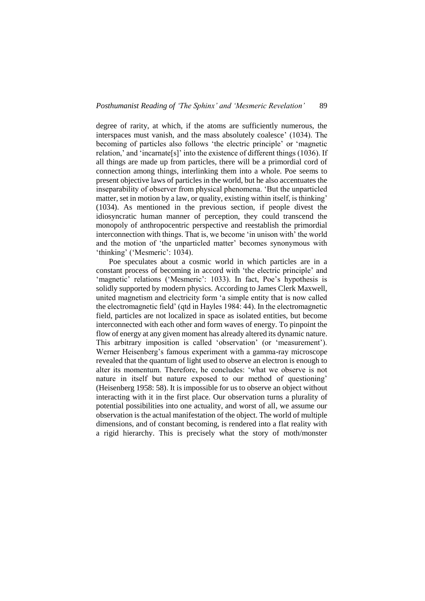degree of rarity, at which, if the atoms are sufficiently numerous, the interspaces must vanish, and the mass absolutely coalesce' (1034). The becoming of particles also follows 'the electric principle' or 'magnetic relation,' and 'incarnate[s]' into the existence of different things (1036). If all things are made up from particles, there will be a primordial cord of connection among things, interlinking them into a whole. Poe seems to present objective laws of particles in the world, but he also accentuates the inseparability of observer from physical phenomena. 'But the unparticled matter, set in motion by a law, or quality, existing within itself, is thinking' (1034). As mentioned in the previous section, if people divest the idiosyncratic human manner of perception, they could transcend the monopoly of anthropocentric perspective and reestablish the primordial interconnection with things. That is, we become 'in unison with' the world and the motion of 'the unparticled matter' becomes synonymous with 'thinking' ('Mesmeric': 1034).

Poe speculates about a cosmic world in which particles are in a constant process of becoming in accord with 'the electric principle' and 'magnetic' relations ('Mesmeric': 1033). In fact, Poe's hypothesis is solidly supported by modern physics. According to James Clerk Maxwell, united magnetism and electricity form 'a simple entity that is now called the electromagnetic field' (qtd in Hayles 1984: 44). In the electromagnetic field, particles are not localized in space as isolated entities, but become interconnected with each other and form waves of energy. To pinpoint the flow of energy at any given moment has already altered its dynamic nature. This arbitrary imposition is called 'observation' (or 'measurement'). Werner Heisenberg's famous experiment with a gamma-ray microscope revealed that the quantum of light used to observe an electron is enough to alter its momentum. Therefore, he concludes: 'what we observe is not nature in itself but nature exposed to our method of questioning' (Heisenberg 1958: 58). It is impossible for us to observe an object without interacting with it in the first place. Our observation turns a plurality of potential possibilities into one actuality, and worst of all, we assume our observation is the actual manifestation of the object. The world of multiple dimensions, and of constant becoming, is rendered into a flat reality with a rigid hierarchy. This is precisely what the story of moth/monster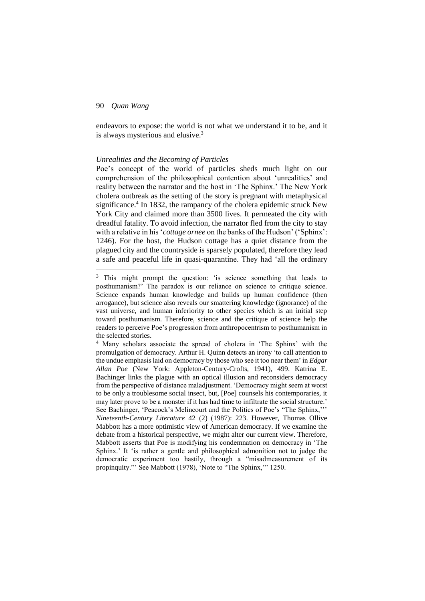-

endeavors to expose: the world is not what we understand it to be, and it is always mysterious and elusive.<sup>3</sup>

#### *Unrealities and the Becoming of Particles*

Poe's concept of the world of particles sheds much light on our comprehension of the philosophical contention about 'unrealities' and reality between the narrator and the host in 'The Sphinx.' The New York cholera outbreak as the setting of the story is pregnant with metaphysical significance.<sup>4</sup> In 1832, the rampancy of the cholera epidemic struck New York City and claimed more than 3500 lives. It permeated the city with dreadful fatality. To avoid infection, the narrator fled from the city to stay with a relative in his '*cottage ornee* on the banks of the Hudson' ('Sphinx': 1246). For the host, the Hudson cottage has a quiet distance from the plagued city and the countryside is sparsely populated, therefore they lead a safe and peaceful life in quasi-quarantine. They had 'all the ordinary

<sup>&</sup>lt;sup>3</sup> This might prompt the question: 'is science something that leads to posthumanism?' The paradox is our reliance on science to critique science. Science expands human knowledge and builds up human confidence (then arrogance), but science also reveals our smattering knowledge (ignorance) of the vast universe, and human inferiority to other species which is an initial step toward posthumanism. Therefore, science and the critique of science help the readers to perceive Poe's progression from anthropocentrism to posthumanism in the selected stories.

<sup>4</sup> Many scholars associate the spread of cholera in 'The Sphinx' with the promulgation of democracy. Arthur H. Quinn detects an irony 'to call attention to the undue emphasis laid on democracy by those who see it too near them' in *Edgar Allan Poe* (New York: Appleton-Century-Crofts, 1941), 499. Katrina E. Bachinger links the plague with an optical illusion and reconsiders democracy from the perspective of distance maladjustment. 'Democracy might seem at worst to be only a troublesome social insect, but, [Poe] counsels his contemporaries, it may later prove to be a monster if it has had time to infiltrate the social structure.' See Bachinger, 'Peacock's Melincourt and the Politics of Poe's "The Sphinx,''' *Nineteenth-Century Literature* 42 (2) (1987): 223. However, Thomas Ollive Mabbott has a more optimistic view of American democracy. If we examine the debate from a historical perspective, we might alter our current view. Therefore, Mabbott asserts that Poe is modifying his condemnation on democracy in 'The Sphinx.' It 'is rather a gentle and philosophical admonition not to judge the democratic experiment too hastily, through a "misadmeasurement of its propinquity."' See Mabbott (1978), 'Note to "The Sphinx,'" 1250.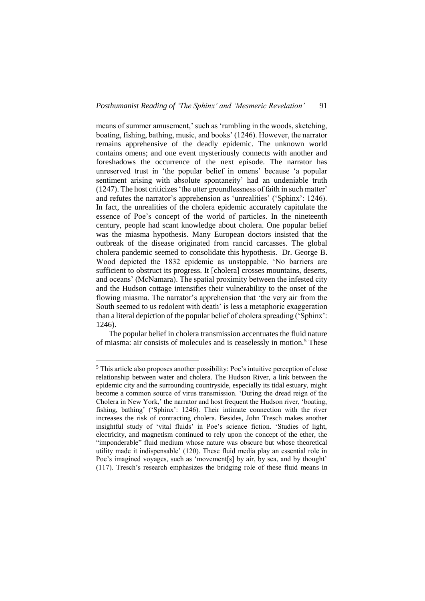means of summer amusement,' such as 'rambling in the woods, sketching, boating, fishing, bathing, music, and books' (1246). However, the narrator remains apprehensive of the deadly epidemic. The unknown world contains omens; and one event mysteriously connects with another and foreshadows the occurrence of the next episode. The narrator has unreserved trust in 'the popular belief in omens' because 'a popular sentiment arising with absolute spontaneity' had an undeniable truth (1247). The host criticizes 'the utter groundlessness of faith in such matter' and refutes the narrator's apprehension as 'unrealities' ('Sphinx': 1246). In fact, the unrealities of the cholera epidemic accurately capitulate the essence of Poe's concept of the world of particles. In the nineteenth century, people had scant knowledge about cholera. One popular belief was the miasma hypothesis. Many European doctors insisted that the outbreak of the disease originated from rancid carcasses. The global cholera pandemic seemed to consolidate this hypothesis. Dr. George B. Wood depicted the 1832 epidemic as unstoppable. 'No barriers are sufficient to obstruct its progress. It [cholera] crosses mountains, deserts, and oceans' (McNamara). The spatial proximity between the infested city and the Hudson cottage intensifies their vulnerability to the onset of the flowing miasma. The narrator's apprehension that 'the very air from the South seemed to us redolent with death' is less a metaphoric exaggeration than a literal depiction of the popular belief of cholera spreading ('Sphinx': 1246).

The popular belief in cholera transmission accentuates the fluid nature of miasma: air consists of molecules and is ceaselessly in motion.<sup>5</sup> These

1

<sup>5</sup> This article also proposes another possibility: Poe's intuitive perception of close relationship between water and cholera. The Hudson River, a link between the epidemic city and the surrounding countryside, especially its tidal estuary, might become a common source of virus transmission. 'During the dread reign of the Cholera in New York,' the narrator and host frequent the Hudson river, 'boating, fishing, bathing' ('Sphinx': 1246). Their intimate connection with the river increases the risk of contracting cholera. Besides, John Tresch makes another insightful study of 'vital fluids' in Poe's science fiction. 'Studies of light, electricity, and magnetism continued to rely upon the concept of the ether, the "imponderable" fluid medium whose nature was obscure but whose theoretical utility made it indispensable' (120). These fluid media play an essential role in Poe's imagined voyages, such as 'movement[s] by air, by sea, and by thought' (117). Tresch's research emphasizes the bridging role of these fluid means in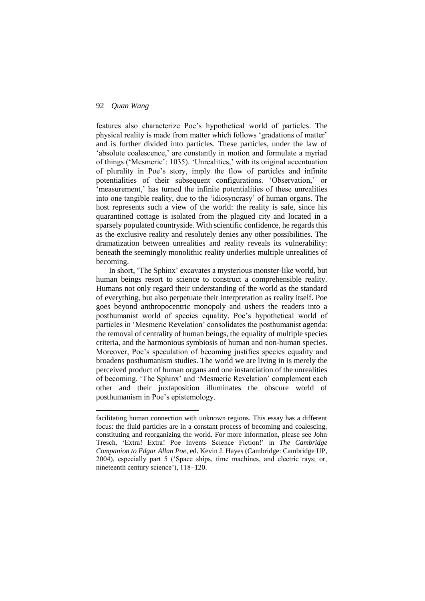-

features also characterize Poe's hypothetical world of particles. The physical reality is made from matter which follows 'gradations of matter' and is further divided into particles. These particles, under the law of 'absolute coalescence,' are constantly in motion and formulate a myriad of things ('Mesmeric': 1035). 'Unrealities,' with its original accentuation of plurality in Poe's story, imply the flow of particles and infinite potentialities of their subsequent configurations. 'Observation,' or 'measurement,' has turned the infinite potentialities of these unrealities into one tangible reality, due to the 'idiosyncrasy' of human organs. The host represents such a view of the world: the reality is safe, since his quarantined cottage is isolated from the plagued city and located in a sparsely populated countryside. With scientific confidence, he regards this as the exclusive reality and resolutely denies any other possibilities. The dramatization between unrealities and reality reveals its vulnerability: beneath the seemingly monolithic reality underlies multiple unrealities of becoming.

In short, 'The Sphinx' excavates a mysterious monster-like world, but human beings resort to science to construct a comprehensible reality. Humans not only regard their understanding of the world as the standard of everything, but also perpetuate their interpretation as reality itself. Poe goes beyond anthropocentric monopoly and ushers the readers into a posthumanist world of species equality. Poe's hypothetical world of particles in 'Mesmeric Revelation' consolidates the posthumanist agenda: the removal of centrality of human beings, the equality of multiple species criteria, and the harmonious symbiosis of human and non-human species. Moreover, Poe's speculation of becoming justifies species equality and broadens posthumanism studies. The world we are living in is merely the perceived product of human organs and one instantiation of the unrealities of becoming. 'The Sphinx' and 'Mesmeric Revelation' complement each other and their juxtaposition illuminates the obscure world of posthumanism in Poe's epistemology.

facilitating human connection with unknown regions. This essay has a different focus: the fluid particles are in a constant process of becoming and coalescing, constituting and reorganizing the world. For more information, please see John Tresch, 'Extra! Extra! Poe Invents Science Fiction!' in *The Cambridge Companion to Edgar Allan Poe*, ed. Kevin J. Hayes (Cambridge: Cambridge UP, 2004), especially part 5 ('Space ships, time machines, and electric rays; or, nineteenth century science'), 118–120.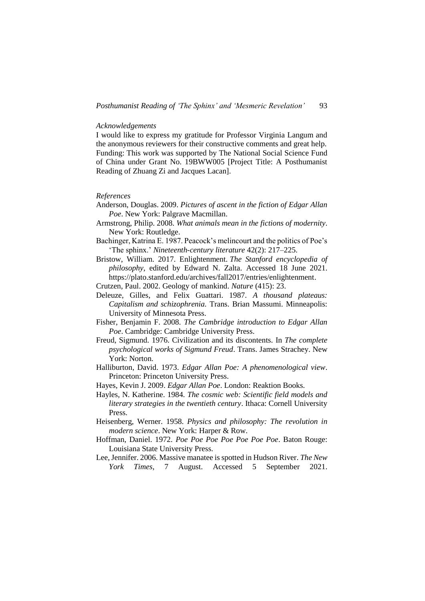#### *Acknowledgements*

I would like to express my gratitude for Professor Virginia Langum and the anonymous reviewers for their constructive comments and great help. Funding: This work was supported by The National Social Science Fund of China under Grant No. 19BWW005 [Project Title: A Posthumanist Reading of Zhuang Zi and Jacques Lacan].

#### *References*

- Anderson, Douglas. 2009. *Pictures of ascent in the fiction of Edgar Allan Poe*. New York: Palgrave Macmillan.
- Armstrong, Philip. 2008. *What animals mean in the fictions of modernity*. New York: Routledge.
- Bachinger, Katrina E. 1987. Peacock's melincourt and the politics of Poe's 'The sphinx.' *Nineteenth-century literature* 42(2): 217–225.
- Bristow, William. 2017. Enlightenment. *The Stanford encyclopedia of philosophy*, edited by Edward N. Zalta. Accessed 18 June 2021. https://plato.stanford.edu/archives/fall2017/entries/enlightenment.
- Crutzen, Paul. 2002. Geology of mankind. *Nature* (415): 23.
- Deleuze, Gilles, and Felix Guattari. 1987. *A thousand plateaus: Capitalism and schizophrenia.* Trans. Brian Massumi. Minneapolis: University of Minnesota Press.
- Fisher, Benjamin F. 2008. *The Cambridge introduction to Edgar Allan Poe*. Cambridge: Cambridge University Press.
- Freud, Sigmund. 1976. Civilization and its discontents. In *The complete psychological works of Sigmund Freud*. Trans. James Strachey. New York: Norton.
- Halliburton, David. 1973. *Edgar Allan Poe: A phenomenological view*. Princeton: Princeton University Press.
- Hayes, Kevin J. 2009. *Edgar Allan Poe*. London: Reaktion Books.
- Hayles, N. Katherine. 1984. *The cosmic web: Scientific field models and literary strategies in the twentieth century*. Ithaca: Cornell University Press.
- Heisenberg, Werner. 1958. *Physics and philosophy: The revolution in modern science*. New York: Harper & Row.
- Hoffman, Daniel. 1972. *Poe Poe Poe Poe Poe Poe Poe*. Baton Rouge: Louisiana State University Press.
- Lee, Jennifer. 2006. Massive manatee is spotted in Hudson River. *The New York Times*, 7 August. Accessed 5 September 2021.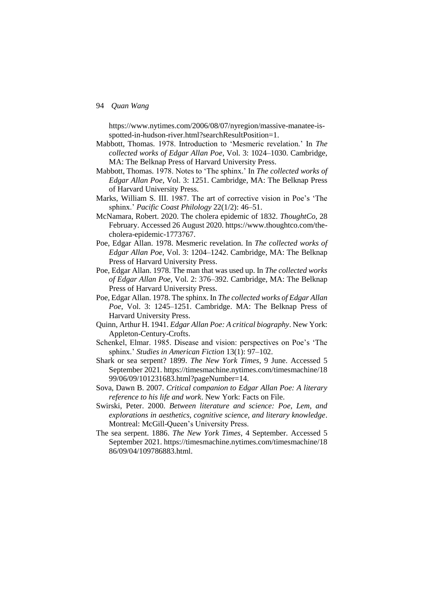https://www.nytimes.com/2006/08/07/nyregion/massive-manatee-isspotted-in-hudson-river.html?searchResultPosition=1.

- Mabbott, Thomas. 1978. Introduction to 'Mesmeric revelation.' In *The collected works of Edgar Allan Poe*, Vol. 3: 1024–1030. Cambridge, MA: The Belknap Press of Harvard University Press.
- Mabbott, Thomas. 1978. Notes to 'The sphinx.' In *The collected works of Edgar Allan Poe*, Vol. 3: 1251. Cambridge, MA: The Belknap Press of Harvard University Press.
- Marks, William S. III. 1987. The art of corrective vision in Poe's 'The sphinx.' *Pacific Coast Philology* 22(1/2): 46–51.
- McNamara, Robert. 2020. The cholera epidemic of 1832. *ThoughtCo*, 28 February. Accessed 26 August 2020. https://www.thoughtco.com/thecholera-epidemic-1773767.
- Poe, Edgar Allan. 1978. Mesmeric revelation. In *The collected works of Edgar Allan Poe,* Vol. 3: 1204–1242. Cambridge, MA: The Belknap Press of Harvard University Press.
- Poe, Edgar Allan. 1978. The man that was used up. In *The collected works of Edgar Allan Poe*, Vol. 2: 376–392. Cambridge, MA: The Belknap Press of Harvard University Press.
- Poe, Edgar Allan. 1978. The sphinx. In *The collected works of Edgar Allan Poe*, Vol. 3: 1245–1251. Cambridge. MA: The Belknap Press of Harvard University Press.
- Quinn, Arthur H. 1941. *Edgar Allan Poe: A critical biography*. New York: Appleton-Century-Crofts.
- Schenkel, Elmar. 1985. Disease and vision: perspectives on Poe's 'The sphinx.' *Studies in American Fiction* 13(1): 97–102.
- Shark or sea serpent? 1899. *The New York Times*, 9 June. Accessed 5 September 2021. https://timesmachine.nytimes.com/timesmachine/18 99/06/09/101231683.html?pageNumber=14.
- Sova, Dawn B. 2007. *Critical companion to Edgar Allan Poe: A literary reference to his life and work*. New York: Facts on File.
- Swirski, Peter. 2000. *Between literature and science: Poe, Lem, and explorations in aesthetics, cognitive science, and literary knowledge*. Montreal: McGill-Queen's University Press.
- The sea serpent. 1886. *The New York Times*, 4 September. Accessed 5 September 2021. https://timesmachine.nytimes.com/timesmachine/18 86/09/04/109786883.html.